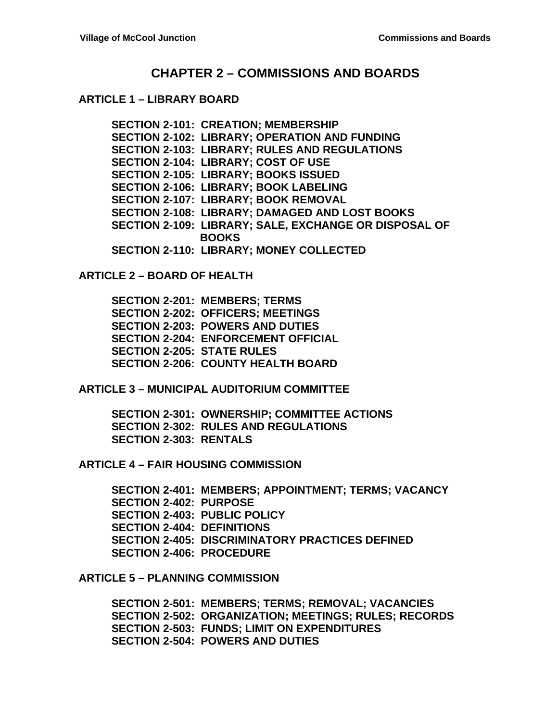## **CHAPTER 2 – COMMISSIONS AND BOARDS**

#### **ARTICLE 1 – LIBRARY BOARD**

**SECTION 2-101: CREATION; MEMBERSHIP SECTION 2-102: LIBRARY; OPERATION AND FUNDING SECTION 2-103: LIBRARY; RULES AND REGULATIONS SECTION 2-104: LIBRARY; COST OF USE SECTION 2-105: LIBRARY; BOOKS ISSUED SECTION 2-106: LIBRARY; BOOK LABELING SECTION 2-107: LIBRARY; BOOK REMOVAL SECTION 2-108: LIBRARY; DAMAGED AND LOST BOOKS SECTION 2-109: LIBRARY; SALE, EXCHANGE OR DISPOSAL OF BOOKS SECTION 2-110: LIBRARY; MONEY COLLECTED**

**ARTICLE 2 – BOARD OF HEALTH**

**SECTION 2-201: MEMBERS; TERMS SECTION 2-202: OFFICERS; MEETINGS SECTION 2-203: POWERS AND DUTIES SECTION 2-204: ENFORCEMENT OFFICIAL SECTION 2-205: STATE RULES SECTION 2-206: COUNTY HEALTH BOARD**

**ARTICLE 3 – MUNICIPAL AUDITORIUM COMMITTEE**

**SECTION 2-301: OWNERSHIP; COMMITTEE ACTIONS SECTION 2-302: RULES AND REGULATIONS SECTION 2-303: RENTALS**

**ARTICLE 4 – FAIR HOUSING COMMISSION**

**SECTION 2-401: MEMBERS; APPOINTMENT; TERMS; VACANCY SECTION 2-402: PURPOSE SECTION 2-403: PUBLIC POLICY SECTION 2-404: DEFINITIONS SECTION 2-405: DISCRIMINATORY PRACTICES DEFINED SECTION 2-406: PROCEDURE**

**ARTICLE 5 – PLANNING COMMISSION**

**SECTION 2-501: MEMBERS; TERMS; REMOVAL; VACANCIES SECTION 2-502: ORGANIZATION; MEETINGS; RULES; RECORDS SECTION 2-503: FUNDS; LIMIT ON EXPENDITURES SECTION 2-504: POWERS AND DUTIES**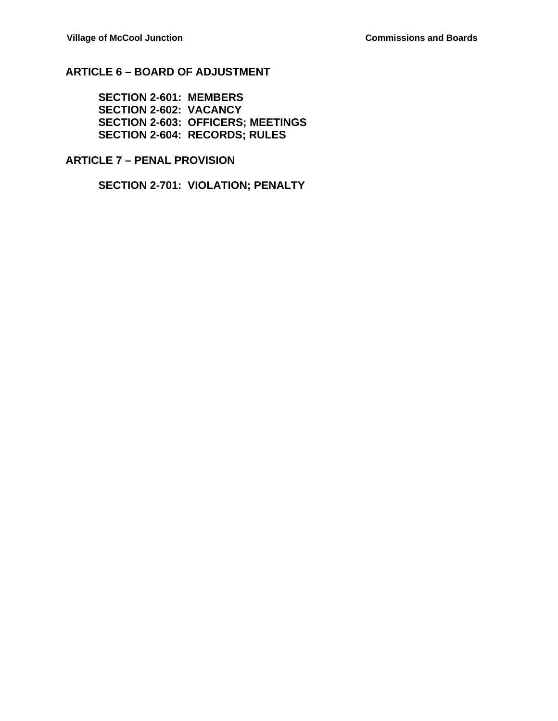## **ARTICLE 6 – BOARD OF ADJUSTMENT**

**SECTION 2-601: MEMBERS SECTION 2-602: VACANCY SECTION 2-603: OFFICERS; MEETINGS SECTION 2-604: RECORDS; RULES**

#### **ARTICLE 7 – PENAL PROVISION**

**SECTION 2-701: VIOLATION; PENALTY**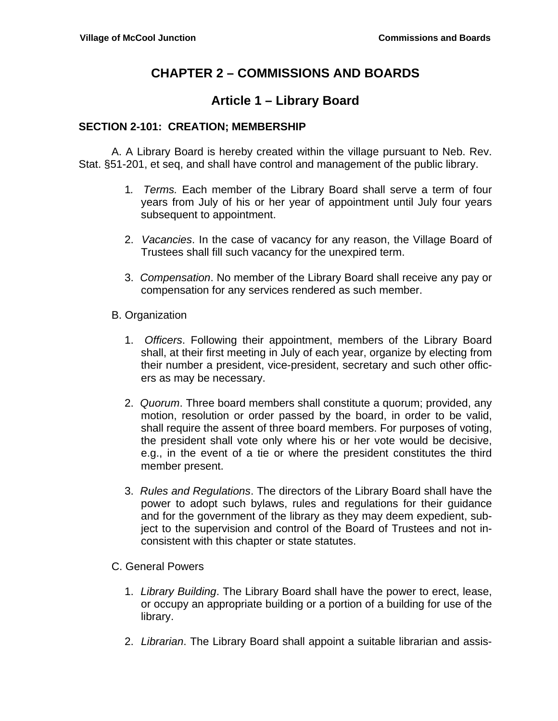# **CHAPTER 2 – COMMISSIONS AND BOARDS**

## **Article 1 – Library Board**

### **SECTION 2-101: CREATION; MEMBERSHIP**

 A. A Library Board is hereby created within the village pursuant to Neb. Rev. Stat. §51-201, et seq, and shall have control and management of the public library.

- 1*. Terms.* Each member of the Library Board shall serve a term of four years from July of his or her year of appointment until July four years subsequent to appointment.
- 2. *Vacancies*. In the case of vacancy for any reason, the Village Board of Trustees shall fill such vacancy for the unexpired term.
- 3. *Compensation*. No member of the Library Board shall receive any pay or compensation for any services rendered as such member.
- B. Organization
	- 1. *Officers*. Following their appointment, members of the Library Board shall, at their first meeting in July of each year, organize by electing from their number a president, vice-president, secretary and such other officers as may be necessary.
	- 2. *Quorum*. Three board members shall constitute a quorum; provided, any motion, resolution or order passed by the board, in order to be valid, shall require the assent of three board members. For purposes of voting, the president shall vote only where his or her vote would be decisive, e.g., in the event of a tie or where the president constitutes the third member present.
	- 3. *Rules and Regulations*. The directors of the Library Board shall have the power to adopt such bylaws, rules and regulations for their guidance and for the government of the library as they may deem expedient, subject to the supervision and control of the Board of Trustees and not inconsistent with this chapter or state statutes.
- C. General Powers
	- 1. *Library Building*. The Library Board shall have the power to erect, lease, or occupy an appropriate building or a portion of a building for use of the library.
	- 2. *Librarian*. The Library Board shall appoint a suitable librarian and assis-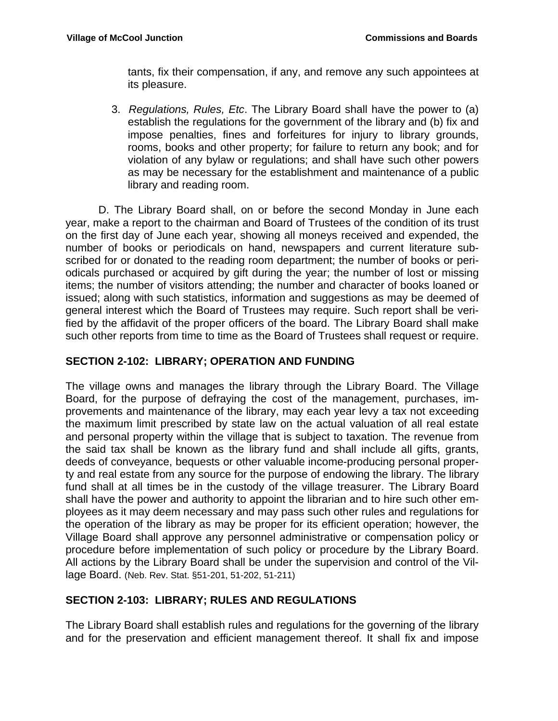tants, fix their compensation, if any, and remove any such appointees at its pleasure.

3. *Regulations, Rules, Etc*. The Library Board shall have the power to (a) establish the regulations for the government of the library and (b) fix and impose penalties, fines and forfeitures for injury to library grounds, rooms, books and other property; for failure to return any book; and for violation of any bylaw or regulations; and shall have such other powers as may be necessary for the establishment and maintenance of a public library and reading room.

 D. The Library Board shall, on or before the second Monday in June each year, make a report to the chairman and Board of Trustees of the condition of its trust on the first day of June each year, showing all moneys received and expended, the number of books or periodicals on hand, newspapers and current literature subscribed for or donated to the reading room department; the number of books or periodicals purchased or acquired by gift during the year; the number of lost or missing items; the number of visitors attending; the number and character of books loaned or issued; along with such statistics, information and suggestions as may be deemed of general interest which the Board of Trustees may require. Such report shall be verified by the affidavit of the proper officers of the board. The Library Board shall make such other reports from time to time as the Board of Trustees shall request or require.

### **SECTION 2-102: LIBRARY; OPERATION AND FUNDING**

The village owns and manages the library through the Library Board. The Village Board, for the purpose of defraying the cost of the management, purchases, improvements and maintenance of the library, may each year levy a tax not exceeding the maximum limit prescribed by state law on the actual valuation of all real estate and personal property within the village that is subject to taxation. The revenue from the said tax shall be known as the library fund and shall include all gifts, grants, deeds of conveyance, bequests or other valuable income-producing personal property and real estate from any source for the purpose of endowing the library. The library fund shall at all times be in the custody of the village treasurer. The Library Board shall have the power and authority to appoint the librarian and to hire such other employees as it may deem necessary and may pass such other rules and regulations for the operation of the library as may be proper for its efficient operation; however, the Village Board shall approve any personnel administrative or compensation policy or procedure before implementation of such policy or procedure by the Library Board. All actions by the Library Board shall be under the supervision and control of the Village Board. (Neb. Rev. Stat. §51-201, 51-202, 51-211)

## **SECTION 2-103: LIBRARY; RULES AND REGULATIONS**

The Library Board shall establish rules and regulations for the governing of the library and for the preservation and efficient management thereof. It shall fix and impose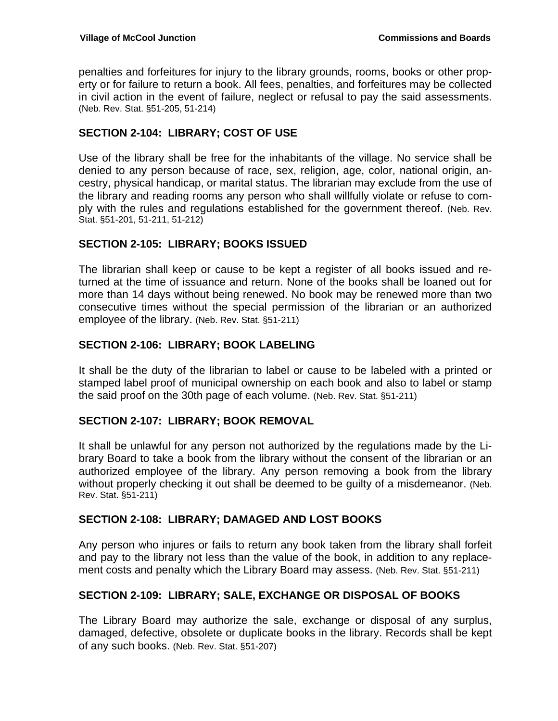penalties and forfeitures for injury to the library grounds, rooms, books or other property or for failure to return a book. All fees, penalties, and forfeitures may be collected in civil action in the event of failure, neglect or refusal to pay the said assessments. (Neb. Rev. Stat. §51-205, 51-214)

### **SECTION 2-104: LIBRARY; COST OF USE**

Use of the library shall be free for the inhabitants of the village. No service shall be denied to any person because of race, sex, religion, age, color, national origin, ancestry, physical handicap, or marital status. The librarian may exclude from the use of the library and reading rooms any person who shall willfully violate or refuse to comply with the rules and regulations established for the government thereof. (Neb. Rev. Stat. §51-201, 51-211, 51-212)

### **SECTION 2-105: LIBRARY; BOOKS ISSUED**

The librarian shall keep or cause to be kept a register of all books issued and returned at the time of issuance and return. None of the books shall be loaned out for more than 14 days without being renewed. No book may be renewed more than two consecutive times without the special permission of the librarian or an authorized employee of the library. (Neb. Rev. Stat. §51-211)

### **SECTION 2-106: LIBRARY; BOOK LABELING**

It shall be the duty of the librarian to label or cause to be labeled with a printed or stamped label proof of municipal ownership on each book and also to label or stamp the said proof on the 30th page of each volume. (Neb. Rev. Stat. §51-211)

#### **SECTION 2-107: LIBRARY; BOOK REMOVAL**

It shall be unlawful for any person not authorized by the regulations made by the Library Board to take a book from the library without the consent of the librarian or an authorized employee of the library. Any person removing a book from the library without properly checking it out shall be deemed to be guilty of a misdemeanor. (Neb. Rev. Stat. §51-211)

#### **SECTION 2-108: LIBRARY; DAMAGED AND LOST BOOKS**

Any person who injures or fails to return any book taken from the library shall forfeit and pay to the library not less than the value of the book, in addition to any replacement costs and penalty which the Library Board may assess. (Neb. Rev. Stat. §51-211)

#### **SECTION 2-109: LIBRARY; SALE, EXCHANGE OR DISPOSAL OF BOOKS**

The Library Board may authorize the sale, exchange or disposal of any surplus, damaged, defective, obsolete or duplicate books in the library. Records shall be kept of any such books. (Neb. Rev. Stat. §51-207)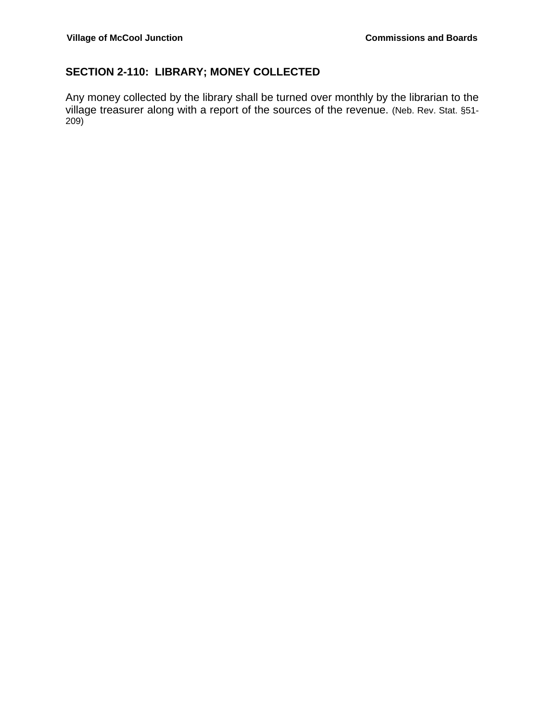## **SECTION 2-110: LIBRARY; MONEY COLLECTED**

Any money collected by the library shall be turned over monthly by the librarian to the village treasurer along with a report of the sources of the revenue. (Neb. Rev. Stat. §51- 209)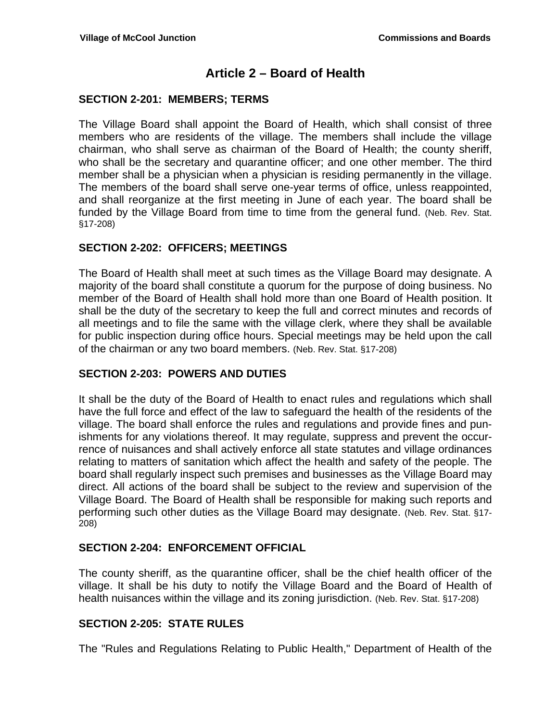## **Article 2 – Board of Health**

### **SECTION 2-201: MEMBERS; TERMS**

The Village Board shall appoint the Board of Health, which shall consist of three members who are residents of the village. The members shall include the village chairman, who shall serve as chairman of the Board of Health; the county sheriff, who shall be the secretary and quarantine officer; and one other member. The third member shall be a physician when a physician is residing permanently in the village. The members of the board shall serve one-year terms of office, unless reappointed, and shall reorganize at the first meeting in June of each year. The board shall be funded by the Village Board from time to time from the general fund. (Neb. Rev. Stat. §17-208)

## **SECTION 2-202: OFFICERS; MEETINGS**

The Board of Health shall meet at such times as the Village Board may designate. A majority of the board shall constitute a quorum for the purpose of doing business. No member of the Board of Health shall hold more than one Board of Health position. It shall be the duty of the secretary to keep the full and correct minutes and records of all meetings and to file the same with the village clerk, where they shall be available for public inspection during office hours. Special meetings may be held upon the call of the chairman or any two board members. (Neb. Rev. Stat. §17-208)

#### **SECTION 2-203: POWERS AND DUTIES**

It shall be the duty of the Board of Health to enact rules and regulations which shall have the full force and effect of the law to safeguard the health of the residents of the village. The board shall enforce the rules and regulations and provide fines and punishments for any violations thereof. It may regulate, suppress and prevent the occurrence of nuisances and shall actively enforce all state statutes and village ordinances relating to matters of sanitation which affect the health and safety of the people. The board shall regularly inspect such premises and businesses as the Village Board may direct. All actions of the board shall be subject to the review and supervision of the Village Board. The Board of Health shall be responsible for making such reports and performing such other duties as the Village Board may designate. (Neb. Rev. Stat. §17- 208)

## **SECTION 2-204: ENFORCEMENT OFFICIAL**

The county sheriff, as the quarantine officer, shall be the chief health officer of the village. It shall be his duty to notify the Village Board and the Board of Health of health nuisances within the village and its zoning jurisdiction. (Neb. Rev. Stat. §17-208)

## **SECTION 2-205: STATE RULES**

The "Rules and Regulations Relating to Public Health," Department of Health of the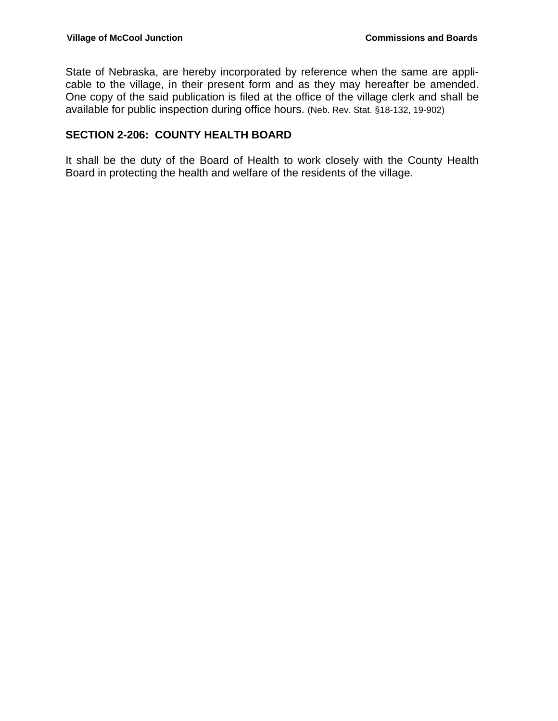State of Nebraska, are hereby incorporated by reference when the same are applicable to the village, in their present form and as they may hereafter be amended. One copy of the said publication is filed at the office of the village clerk and shall be available for public inspection during office hours. (Neb. Rev. Stat. §18-132, 19-902)

#### **SECTION 2-206: COUNTY HEALTH BOARD**

It shall be the duty of the Board of Health to work closely with the County Health Board in protecting the health and welfare of the residents of the village.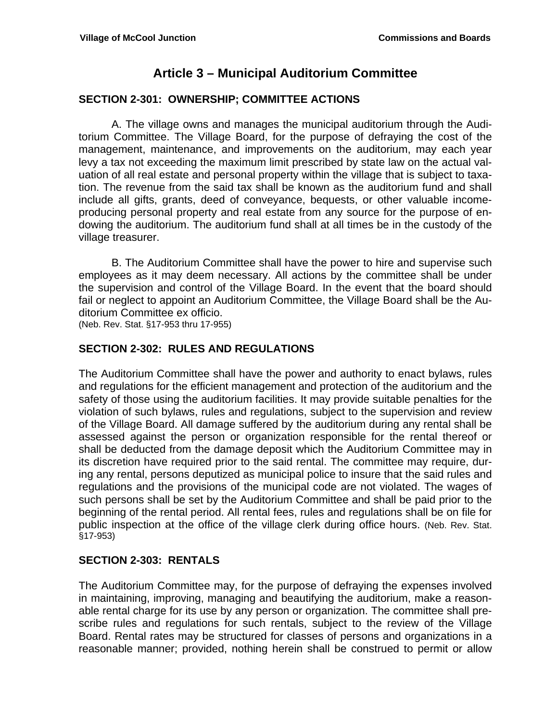## **Article 3 – Municipal Auditorium Committee**

### **SECTION 2-301: OWNERSHIP; COMMITTEE ACTIONS**

A. The village owns and manages the municipal auditorium through the Auditorium Committee. The Village Board, for the purpose of defraying the cost of the management, maintenance, and improvements on the auditorium, may each year levy a tax not exceeding the maximum limit prescribed by state law on the actual valuation of all real estate and personal property within the village that is subject to taxation. The revenue from the said tax shall be known as the auditorium fund and shall include all gifts, grants, deed of conveyance, bequests, or other valuable incomeproducing personal property and real estate from any source for the purpose of endowing the auditorium. The auditorium fund shall at all times be in the custody of the village treasurer.

B. The Auditorium Committee shall have the power to hire and supervise such employees as it may deem necessary. All actions by the committee shall be under the supervision and control of the Village Board. In the event that the board should fail or neglect to appoint an Auditorium Committee, the Village Board shall be the Auditorium Committee ex officio.

(Neb. Rev. Stat. §17-953 thru 17-955)

#### **SECTION 2-302: RULES AND REGULATIONS**

The Auditorium Committee shall have the power and authority to enact bylaws, rules and regulations for the efficient management and protection of the auditorium and the safety of those using the auditorium facilities. It may provide suitable penalties for the violation of such bylaws, rules and regulations, subject to the supervision and review of the Village Board. All damage suffered by the auditorium during any rental shall be assessed against the person or organization responsible for the rental thereof or shall be deducted from the damage deposit which the Auditorium Committee may in its discretion have required prior to the said rental. The committee may require, during any rental, persons deputized as municipal police to insure that the said rules and regulations and the provisions of the municipal code are not violated. The wages of such persons shall be set by the Auditorium Committee and shall be paid prior to the beginning of the rental period. All rental fees, rules and regulations shall be on file for public inspection at the office of the village clerk during office hours. (Neb. Rev. Stat. §17-953)

#### **SECTION 2-303: RENTALS**

The Auditorium Committee may, for the purpose of defraying the expenses involved in maintaining, improving, managing and beautifying the auditorium, make a reasonable rental charge for its use by any person or organization. The committee shall prescribe rules and regulations for such rentals, subject to the review of the Village Board. Rental rates may be structured for classes of persons and organizations in a reasonable manner; provided, nothing herein shall be construed to permit or allow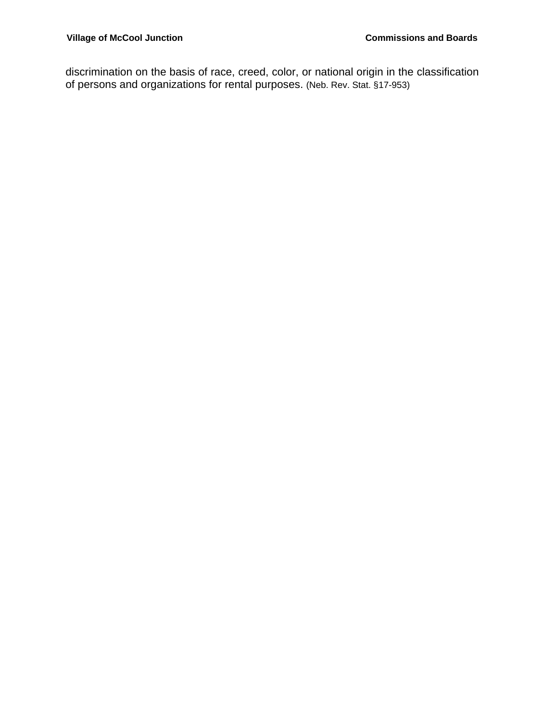discrimination on the basis of race, creed, color, or national origin in the classification of persons and organizations for rental purposes. (Neb. Rev. Stat. §17-953)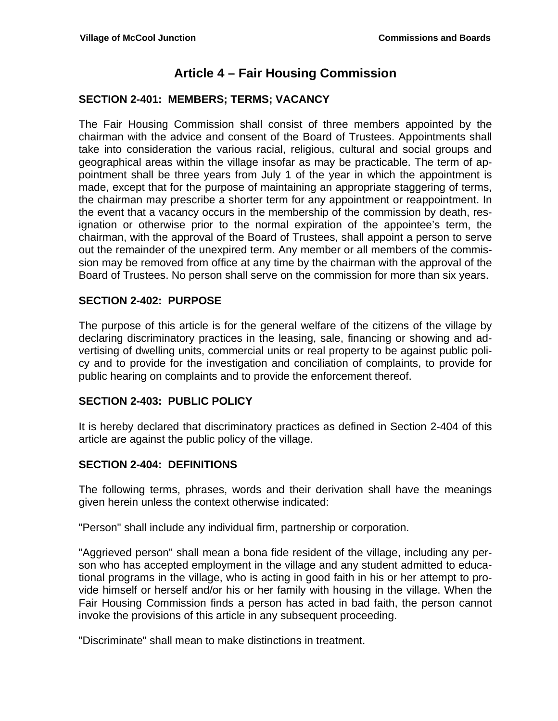## **Article 4 – Fair Housing Commission**

#### **SECTION 2-401: MEMBERS; TERMS; VACANCY**

The Fair Housing Commission shall consist of three members appointed by the chairman with the advice and consent of the Board of Trustees. Appointments shall take into consideration the various racial, religious, cultural and social groups and geographical areas within the village insofar as may be practicable. The term of appointment shall be three years from July 1 of the year in which the appointment is made, except that for the purpose of maintaining an appropriate staggering of terms, the chairman may prescribe a shorter term for any appointment or reappointment. In the event that a vacancy occurs in the membership of the commission by death, resignation or otherwise prior to the normal expiration of the appointee's term, the chairman, with the approval of the Board of Trustees, shall appoint a person to serve out the remainder of the unexpired term. Any member or all members of the commission may be removed from office at any time by the chairman with the approval of the Board of Trustees. No person shall serve on the commission for more than six years.

#### **SECTION 2-402: PURPOSE**

The purpose of this article is for the general welfare of the citizens of the village by declaring discriminatory practices in the leasing, sale, financing or showing and advertising of dwelling units, commercial units or real property to be against public policy and to provide for the investigation and conciliation of complaints, to provide for public hearing on complaints and to provide the enforcement thereof.

#### **SECTION 2-403: PUBLIC POLICY**

It is hereby declared that discriminatory practices as defined in Section 2-404 of this article are against the public policy of the village.

#### **SECTION 2-404: DEFINITIONS**

The following terms, phrases, words and their derivation shall have the meanings given herein unless the context otherwise indicated:

"Person" shall include any individual firm, partnership or corporation.

"Aggrieved person" shall mean a bona fide resident of the village, including any person who has accepted employment in the village and any student admitted to educational programs in the village, who is acting in good faith in his or her attempt to provide himself or herself and/or his or her family with housing in the village. When the Fair Housing Commission finds a person has acted in bad faith, the person cannot invoke the provisions of this article in any subsequent proceeding.

"Discriminate" shall mean to make distinctions in treatment.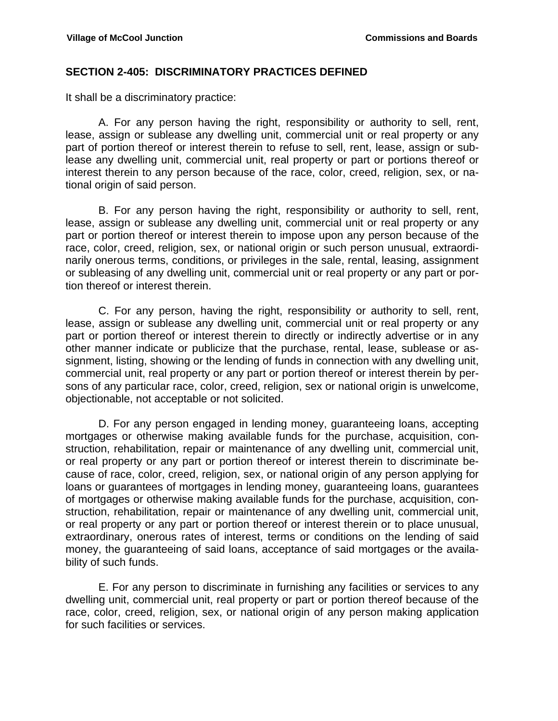#### **SECTION 2-405: DISCRIMINATORY PRACTICES DEFINED**

It shall be a discriminatory practice:

 A. For any person having the right, responsibility or authority to sell, rent, lease, assign or sublease any dwelling unit, commercial unit or real property or any part of portion thereof or interest therein to refuse to sell, rent, lease, assign or sublease any dwelling unit, commercial unit, real property or part or portions thereof or interest therein to any person because of the race, color, creed, religion, sex, or national origin of said person.

 B. For any person having the right, responsibility or authority to sell, rent, lease, assign or sublease any dwelling unit, commercial unit or real property or any part or portion thereof or interest therein to impose upon any person because of the race, color, creed, religion, sex, or national origin or such person unusual, extraordinarily onerous terms, conditions, or privileges in the sale, rental, leasing, assignment or subleasing of any dwelling unit, commercial unit or real property or any part or portion thereof or interest therein.

 C. For any person, having the right, responsibility or authority to sell, rent, lease, assign or sublease any dwelling unit, commercial unit or real property or any part or portion thereof or interest therein to directly or indirectly advertise or in any other manner indicate or publicize that the purchase, rental, lease, sublease or assignment, listing, showing or the lending of funds in connection with any dwelling unit, commercial unit, real property or any part or portion thereof or interest therein by persons of any particular race, color, creed, religion, sex or national origin is unwelcome, objectionable, not acceptable or not solicited.

 D. For any person engaged in lending money, guaranteeing loans, accepting mortgages or otherwise making available funds for the purchase, acquisition, construction, rehabilitation, repair or maintenance of any dwelling unit, commercial unit, or real property or any part or portion thereof or interest therein to discriminate because of race, color, creed, religion, sex, or national origin of any person applying for loans or guarantees of mortgages in lending money, guaranteeing loans, guarantees of mortgages or otherwise making available funds for the purchase, acquisition, construction, rehabilitation, repair or maintenance of any dwelling unit, commercial unit, or real property or any part or portion thereof or interest therein or to place unusual, extraordinary, onerous rates of interest, terms or conditions on the lending of said money, the guaranteeing of said loans, acceptance of said mortgages or the availability of such funds.

 E. For any person to discriminate in furnishing any facilities or services to any dwelling unit, commercial unit, real property or part or portion thereof because of the race, color, creed, religion, sex, or national origin of any person making application for such facilities or services.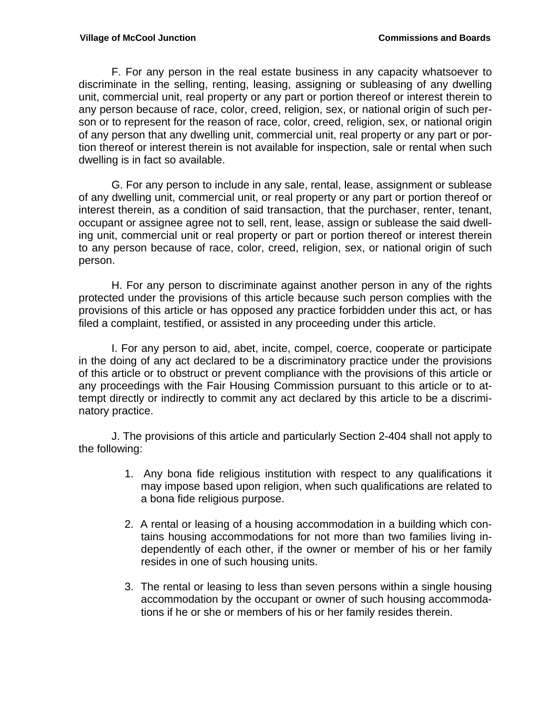F. For any person in the real estate business in any capacity whatsoever to discriminate in the selling, renting, leasing, assigning or subleasing of any dwelling unit, commercial unit, real property or any part or portion thereof or interest therein to any person because of race, color, creed, religion, sex, or national origin of such person or to represent for the reason of race, color, creed, religion, sex, or national origin of any person that any dwelling unit, commercial unit, real property or any part or portion thereof or interest therein is not available for inspection, sale or rental when such dwelling is in fact so available.

 G. For any person to include in any sale, rental, lease, assignment or sublease of any dwelling unit, commercial unit, or real property or any part or portion thereof or interest therein, as a condition of said transaction, that the purchaser, renter, tenant, occupant or assignee agree not to sell, rent, lease, assign or sublease the said dwelling unit, commercial unit or real property or part or portion thereof or interest therein to any person because of race, color, creed, religion, sex, or national origin of such person.

 H. For any person to discriminate against another person in any of the rights protected under the provisions of this article because such person complies with the provisions of this article or has opposed any practice forbidden under this act, or has filed a complaint, testified, or assisted in any proceeding under this article.

 I. For any person to aid, abet, incite, compel, coerce, cooperate or participate in the doing of any act declared to be a discriminatory practice under the provisions of this article or to obstruct or prevent compliance with the provisions of this article or any proceedings with the Fair Housing Commission pursuant to this article or to attempt directly or indirectly to commit any act declared by this article to be a discriminatory practice.

 J. The provisions of this article and particularly Section 2-404 shall not apply to the following:

- 1. Any bona fide religious institution with respect to any qualifications it may impose based upon religion, when such qualifications are related to a bona fide religious purpose.
- 2. A rental or leasing of a housing accommodation in a building which contains housing accommodations for not more than two families living independently of each other, if the owner or member of his or her family resides in one of such housing units.
- 3. The rental or leasing to less than seven persons within a single housing accommodation by the occupant or owner of such housing accommodations if he or she or members of his or her family resides therein.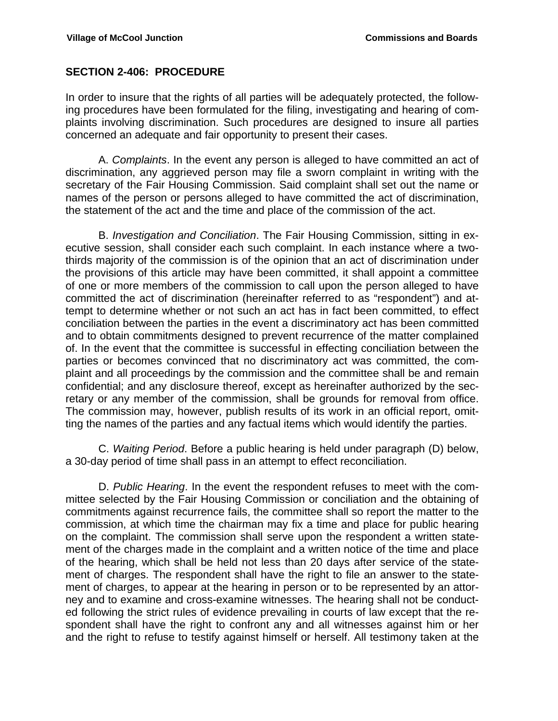#### **SECTION 2-406: PROCEDURE**

In order to insure that the rights of all parties will be adequately protected, the following procedures have been formulated for the filing, investigating and hearing of complaints involving discrimination. Such procedures are designed to insure all parties concerned an adequate and fair opportunity to present their cases.

 A. *Complaints*. In the event any person is alleged to have committed an act of discrimination, any aggrieved person may file a sworn complaint in writing with the secretary of the Fair Housing Commission. Said complaint shall set out the name or names of the person or persons alleged to have committed the act of discrimination, the statement of the act and the time and place of the commission of the act.

 B. *Investigation and Conciliation*. The Fair Housing Commission, sitting in executive session, shall consider each such complaint. In each instance where a twothirds majority of the commission is of the opinion that an act of discrimination under the provisions of this article may have been committed, it shall appoint a committee of one or more members of the commission to call upon the person alleged to have committed the act of discrimination (hereinafter referred to as "respondent") and attempt to determine whether or not such an act has in fact been committed, to effect conciliation between the parties in the event a discriminatory act has been committed and to obtain commitments designed to prevent recurrence of the matter complained of. In the event that the committee is successful in effecting conciliation between the parties or becomes convinced that no discriminatory act was committed, the complaint and all proceedings by the commission and the committee shall be and remain confidential; and any disclosure thereof, except as hereinafter authorized by the secretary or any member of the commission, shall be grounds for removal from office. The commission may, however, publish results of its work in an official report, omitting the names of the parties and any factual items which would identify the parties.

 C. *Waiting Period*. Before a public hearing is held under paragraph (D) below, a 30-day period of time shall pass in an attempt to effect reconciliation.

 D. *Public Hearing*. In the event the respondent refuses to meet with the committee selected by the Fair Housing Commission or conciliation and the obtaining of commitments against recurrence fails, the committee shall so report the matter to the commission, at which time the chairman may fix a time and place for public hearing on the complaint. The commission shall serve upon the respondent a written statement of the charges made in the complaint and a written notice of the time and place of the hearing, which shall be held not less than 20 days after service of the statement of charges. The respondent shall have the right to file an answer to the statement of charges, to appear at the hearing in person or to be represented by an attorney and to examine and cross-examine witnesses. The hearing shall not be conducted following the strict rules of evidence prevailing in courts of law except that the respondent shall have the right to confront any and all witnesses against him or her and the right to refuse to testify against himself or herself. All testimony taken at the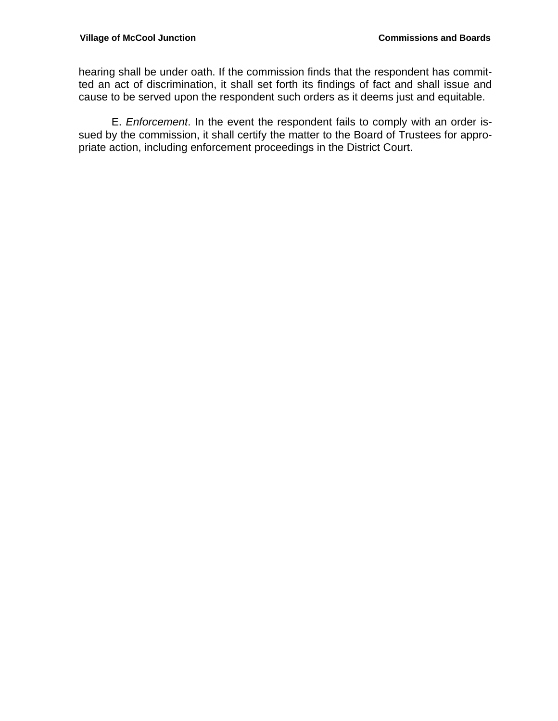hearing shall be under oath. If the commission finds that the respondent has committed an act of discrimination, it shall set forth its findings of fact and shall issue and cause to be served upon the respondent such orders as it deems just and equitable.

 E. *Enforcement*. In the event the respondent fails to comply with an order issued by the commission, it shall certify the matter to the Board of Trustees for appropriate action, including enforcement proceedings in the District Court.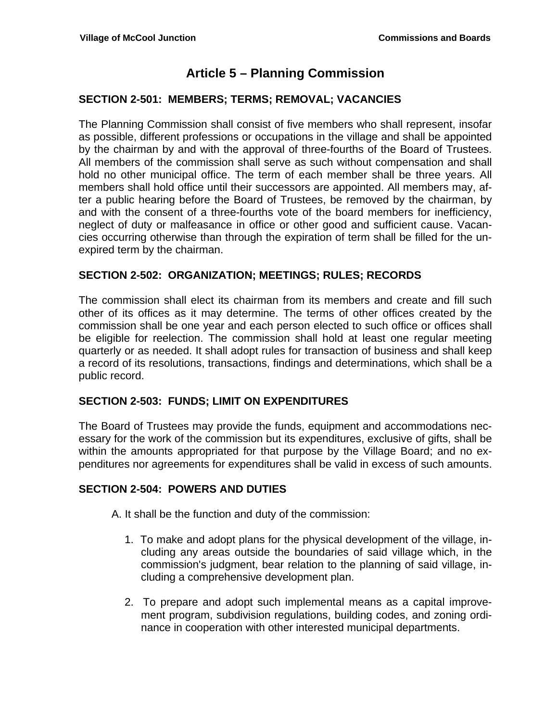## **Article 5 – Planning Commission**

### **SECTION 2-501: MEMBERS; TERMS; REMOVAL; VACANCIES**

The Planning Commission shall consist of five members who shall represent, insofar as possible, different professions or occupations in the village and shall be appointed by the chairman by and with the approval of three-fourths of the Board of Trustees. All members of the commission shall serve as such without compensation and shall hold no other municipal office. The term of each member shall be three years. All members shall hold office until their successors are appointed. All members may, after a public hearing before the Board of Trustees, be removed by the chairman, by and with the consent of a three-fourths vote of the board members for inefficiency, neglect of duty or malfeasance in office or other good and sufficient cause. Vacancies occurring otherwise than through the expiration of term shall be filled for the unexpired term by the chairman.

### **SECTION 2-502: ORGANIZATION; MEETINGS; RULES; RECORDS**

The commission shall elect its chairman from its members and create and fill such other of its offices as it may determine. The terms of other offices created by the commission shall be one year and each person elected to such office or offices shall be eligible for reelection. The commission shall hold at least one regular meeting quarterly or as needed. It shall adopt rules for transaction of business and shall keep a record of its resolutions, transactions, findings and determinations, which shall be a public record.

#### **SECTION 2-503: FUNDS; LIMIT ON EXPENDITURES**

The Board of Trustees may provide the funds, equipment and accommodations necessary for the work of the commission but its expenditures, exclusive of gifts, shall be within the amounts appropriated for that purpose by the Village Board; and no expenditures nor agreements for expenditures shall be valid in excess of such amounts.

#### **SECTION 2-504: POWERS AND DUTIES**

A. It shall be the function and duty of the commission:

- 1. To make and adopt plans for the physical development of the village, including any areas outside the boundaries of said village which, in the commission's judgment, bear relation to the planning of said village, including a comprehensive development plan.
- 2. To prepare and adopt such implemental means as a capital improvement program, subdivision regulations, building codes, and zoning ordinance in cooperation with other interested municipal departments.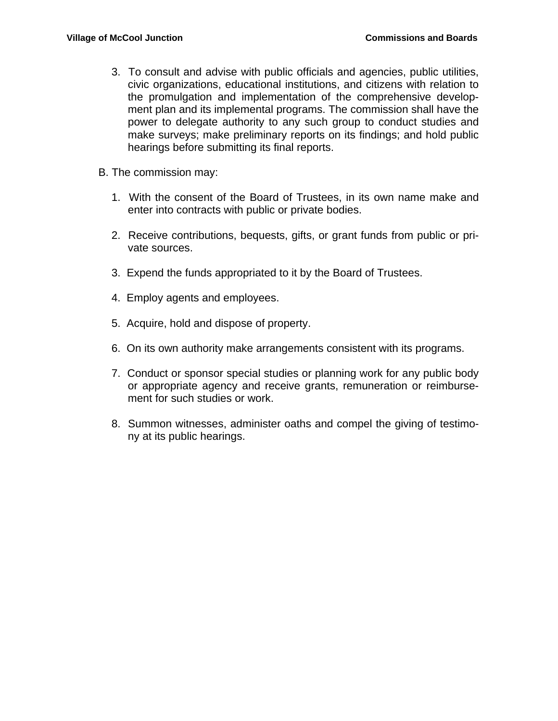- 3. To consult and advise with public officials and agencies, public utilities, civic organizations, educational institutions, and citizens with relation to the promulgation and implementation of the comprehensive development plan and its implemental programs. The commission shall have the power to delegate authority to any such group to conduct studies and make surveys; make preliminary reports on its findings; and hold public hearings before submitting its final reports.
- B. The commission may:
	- 1. With the consent of the Board of Trustees, in its own name make and enter into contracts with public or private bodies.
	- 2. Receive contributions, bequests, gifts, or grant funds from public or private sources.
	- 3. Expend the funds appropriated to it by the Board of Trustees.
	- 4. Employ agents and employees.
	- 5. Acquire, hold and dispose of property.
	- 6. On its own authority make arrangements consistent with its programs.
	- 7. Conduct or sponsor special studies or planning work for any public body or appropriate agency and receive grants, remuneration or reimbursement for such studies or work.
	- 8. Summon witnesses, administer oaths and compel the giving of testimony at its public hearings.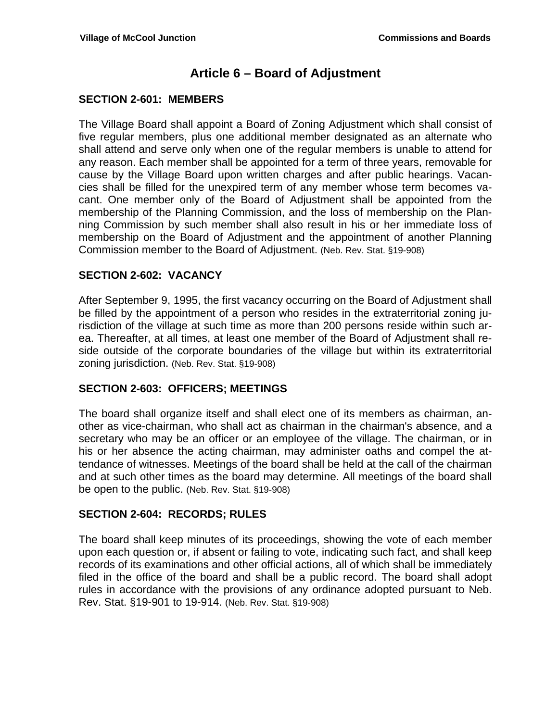## **Article 6 – Board of Adjustment**

#### **SECTION 2-601: MEMBERS**

The Village Board shall appoint a Board of Zoning Adjustment which shall consist of five regular members, plus one additional member designated as an alternate who shall attend and serve only when one of the regular members is unable to attend for any reason. Each member shall be appointed for a term of three years, removable for cause by the Village Board upon written charges and after public hearings. Vacancies shall be filled for the unexpired term of any member whose term becomes vacant. One member only of the Board of Adjustment shall be appointed from the membership of the Planning Commission, and the loss of membership on the Planning Commission by such member shall also result in his or her immediate loss of membership on the Board of Adjustment and the appointment of another Planning Commission member to the Board of Adjustment. (Neb. Rev. Stat. §19-908)

#### **SECTION 2-602: VACANCY**

After September 9, 1995, the first vacancy occurring on the Board of Adjustment shall be filled by the appointment of a person who resides in the extraterritorial zoning jurisdiction of the village at such time as more than 200 persons reside within such area. Thereafter, at all times, at least one member of the Board of Adjustment shall reside outside of the corporate boundaries of the village but within its extraterritorial zoning jurisdiction. (Neb. Rev. Stat. §19-908)

#### **SECTION 2-603: OFFICERS; MEETINGS**

The board shall organize itself and shall elect one of its members as chairman, another as vice-chairman, who shall act as chairman in the chairman's absence, and a secretary who may be an officer or an employee of the village. The chairman, or in his or her absence the acting chairman, may administer oaths and compel the attendance of witnesses. Meetings of the board shall be held at the call of the chairman and at such other times as the board may determine. All meetings of the board shall be open to the public. (Neb. Rev. Stat. §19-908)

#### **SECTION 2-604: RECORDS; RULES**

The board shall keep minutes of its proceedings, showing the vote of each member upon each question or, if absent or failing to vote, indicating such fact, and shall keep records of its examinations and other official actions, all of which shall be immediately filed in the office of the board and shall be a public record. The board shall adopt rules in accordance with the provisions of any ordinance adopted pursuant to Neb. Rev. Stat. §19-901 to 19-914. (Neb. Rev. Stat. §19-908)